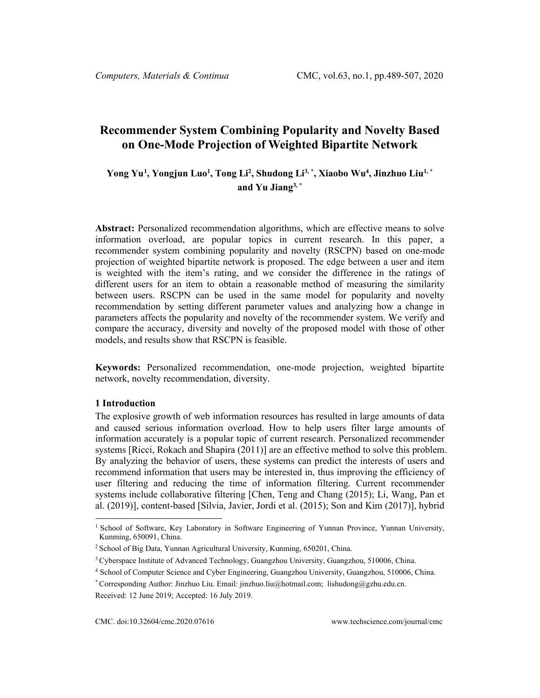# **Recommender System Combining Popularity and Novelty Based on One-Mode Projection of Weighted Bipartite Network**

## $\bf{Y}$ ong Yu<sup>[1](#page-0-0)</sup>,  $\bf{Y}$ ongjun Luo<sup>1</sup>,  $\bf{Topg~Li^2, Shudong~Li^3,^*}, \bf{Xiaobo~Wu^4, Jinzhuo~Liu^1,^*}$ **and Yu Jiang3, \***

**Abstract:** Personalized recommendation algorithms, which are effective means to solve information overload, are popular topics in current research. In this paper, a recommender system combining popularity and novelty (RSCPN) based on one-mode projection of weighted bipartite network is proposed. The edge between a user and item is weighted with the item's rating, and we consider the difference in the ratings of different users for an item to obtain a reasonable method of measuring the similarity between users. RSCPN can be used in the same model for popularity and novelty recommendation by setting different parameter values and analyzing how a change in parameters affects the popularity and novelty of the recommender system. We verify and compare the accuracy, diversity and novelty of the proposed model with those of other models, and results show that RSCPN is feasible.

**Keywords:** Personalized recommendation, one-mode projection, weighted bipartite network, novelty recommendation, diversity.

### **1 Introduction**

The explosive growth of web information resources has resulted in large amounts of data and caused serious information overload. How to help users filter large amounts of information accurately is a popular topic of current research. Personalized recommender systems [Ricci, Rokach and Shapira (2011)] are an effective method to solve this problem. By analyzing the behavior of users, these systems can predict the interests of users and recommend information that users may be interested in, thus improving the efficiency of user filtering and reducing the time of information filtering. Current recommender systems include collaborative filtering [Chen, Teng and Chang (2015); Li, Wang, Pan et al. (2019)], content-based [Silvia, Javier, Jordi et al. (2015); Son and Kim (2017)], hybrid

<span id="page-0-0"></span><sup>&</sup>lt;sup>1</sup> School of Software, Key Laboratory in Software Engineering of Yunnan Province, Yunnan University, Kunming, 650091, China.

<sup>2</sup> School of Big Data, Yunnan Agricultural University, Kunming, 650201, China.

<sup>&</sup>lt;sup>3</sup> Cyberspace Institute of Advanced Technology, Guangzhou University, Guangzhou, 510006, China.

<sup>4</sup> School of Computer Science and Cyber Engineering, Guangzhou University, Guangzhou, 510006, China.

<sup>\*</sup> Corresponding Author: Jinzhuo Liu. Email: [jinzhuo.liu@hotmail.com;](mailto:jinzhuo.liu@hotmail.com) lishudong@gzhu.edu.cn. Received: 12 June 2019; Accepted: 16 July 2019.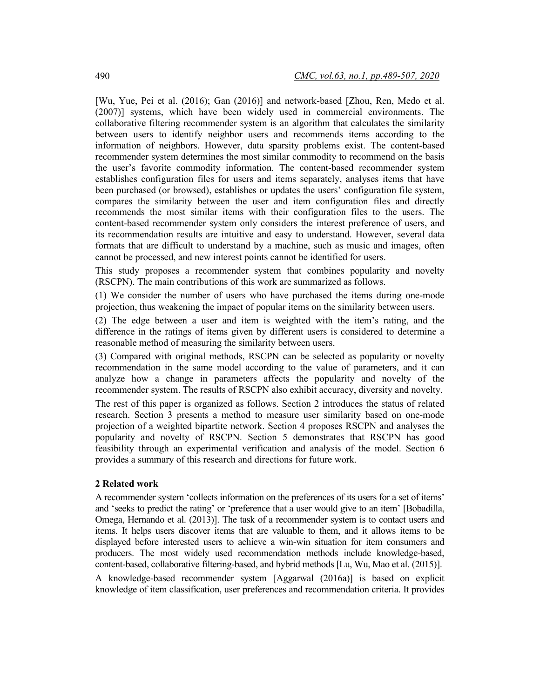[Wu, Yue, Pei et al. (2016); Gan (2016)] and network-based [Zhou, Ren, Medo et al. (2007)] systems, which have been widely used in commercial environments. The collaborative filtering recommender system is an algorithm that calculates the similarity between users to identify neighbor users and recommends items according to the information of neighbors. However, data sparsity problems exist. The content-based recommender system determines the most similar commodity to recommend on the basis the user's favorite commodity information. The content-based recommender system establishes configuration files for users and items separately, analyses items that have been purchased (or browsed), establishes or updates the users' configuration file system, compares the similarity between the user and item configuration files and directly recommends the most similar items with their configuration files to the users. The content-based recommender system only considers the interest preference of users, and its recommendation results are intuitive and easy to understand. However, several data formats that are difficult to understand by a machine, such as music and images, often cannot be processed, and new interest points cannot be identified for users.

This study proposes a recommender system that combines popularity and novelty (RSCPN). The main contributions of this work are summarized as follows.

(1) We consider the number of users who have purchased the items during one-mode projection, thus weakening the impact of popular items on the similarity between users.

(2) The edge between a user and item is weighted with the item's rating, and the difference in the ratings of items given by different users is considered to determine a reasonable method of measuring the similarity between users.

(3) Compared with original methods, RSCPN can be selected as popularity or novelty recommendation in the same model according to the value of parameters, and it can analyze how a change in parameters affects the popularity and novelty of the recommender system. The results of RSCPN also exhibit accuracy, diversity and novelty. The rest of this paper is organized as follows. Section 2 introduces the status of related research. Section 3 presents a method to measure user similarity based on one-mode projection of a weighted bipartite network. Section 4 proposes RSCPN and analyses the popularity and novelty of RSCPN. Section 5 demonstrates that RSCPN has good feasibility through an experimental verification and analysis of the model. Section 6 provides a summary of this research and directions for future work.

#### **2 Related work**

A recommender system 'collects information on the preferences of its users for a set of items' and 'seeks to predict the rating' or 'preference that a user would give to an item' [Bobadilla, Omega, Hernando et al. (2013)]. The task of a recommender system is to contact users and items. It helps users discover items that are valuable to them, and it allows items to be displayed before interested users to achieve a win-win situation for item consumers and producers. The most widely used recommendation methods include knowledge-based, content-based, collaborative filtering-based, and hybrid methods [Lu, Wu, Mao et al. (2015)]. A knowledge-based recommender system [Aggarwal (2016a)] is based on explicit knowledge of item classification, user preferences and recommendation criteria. It provides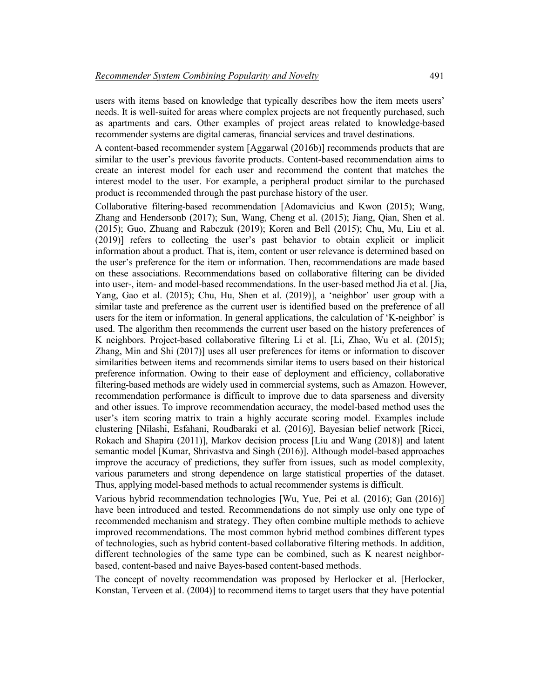users with items based on knowledge that typically describes how the item meets users' needs. It is well-suited for areas where complex projects are not frequently purchased, such as apartments and cars. Other examples of project areas related to knowledge-based recommender systems are digital cameras, financial services and travel destinations.

A content-based recommender system [Aggarwal (2016b)] recommends products that are similar to the user's previous favorite products. Content-based recommendation aims to create an interest model for each user and recommend the content that matches the interest model to the user. For example, a peripheral product similar to the purchased product is recommended through the past purchase history of the user.

Collaborative filtering-based recommendation [Adomavicius and Kwon (2015); Wang, Zhang and Hendersonb (2017); Sun, Wang, Cheng et al. (2015); Jiang, Qian, Shen et al. (2015); Guo, Zhuang and Rabczuk (2019); Koren and Bell (2015); Chu, Mu, Liu et al. (2019)] refers to collecting the user's past behavior to obtain explicit or implicit information about a product. That is, item, content or user relevance is determined based on the user's preference for the item or information. Then, recommendations are made based on these associations. Recommendations based on collaborative filtering can be divided into user-, item- and model-based recommendations. In the user-based method Jia et al. [Jia, Yang, Gao et al. (2015); Chu, Hu, Shen et al. (2019)], a 'neighbor' user group with a similar taste and preference as the current user is identified based on the preference of all users for the item or information. In general applications, the calculation of 'K-neighbor' is used. The algorithm then recommends the current user based on the history preferences of K neighbors. Project-based collaborative filtering Li et al. [Li, Zhao, Wu et al. (2015); Zhang, Min and Shi (2017)] uses all user preferences for items or information to discover similarities between items and recommends similar items to users based on their historical preference information. Owing to their ease of deployment and efficiency, collaborative filtering-based methods are widely used in commercial systems, such as Amazon. However, recommendation performance is difficult to improve due to data sparseness and diversity and other issues. To improve recommendation accuracy, the model-based method uses the user's item scoring matrix to train a highly accurate scoring model. Examples include clustering [Nilashi, Esfahani, Roudbaraki et al. (2016)], Bayesian belief network [Ricci, Rokach and Shapira (2011)], Markov decision process [Liu and Wang (2018)] and latent semantic model [Kumar, Shrivastva and Singh (2016)]. Although model-based approaches improve the accuracy of predictions, they suffer from issues, such as model complexity, various parameters and strong dependence on large statistical properties of the dataset. Thus, applying model-based methods to actual recommender systems is difficult.

Various hybrid recommendation technologies [Wu, Yue, Pei et al. (2016); Gan (2016)] have been introduced and tested. Recommendations do not simply use only one type of recommended mechanism and strategy. They often combine multiple methods to achieve improved recommendations. The most common hybrid method combines different types of technologies, such as hybrid content-based collaborative filtering methods. In addition, different technologies of the same type can be combined, such as K nearest neighborbased, content-based and naive Bayes-based content-based methods.

The concept of novelty recommendation was proposed by Herlocker et al. [Herlocker, Konstan, Terveen et al. (2004)] to recommend items to target users that they have potential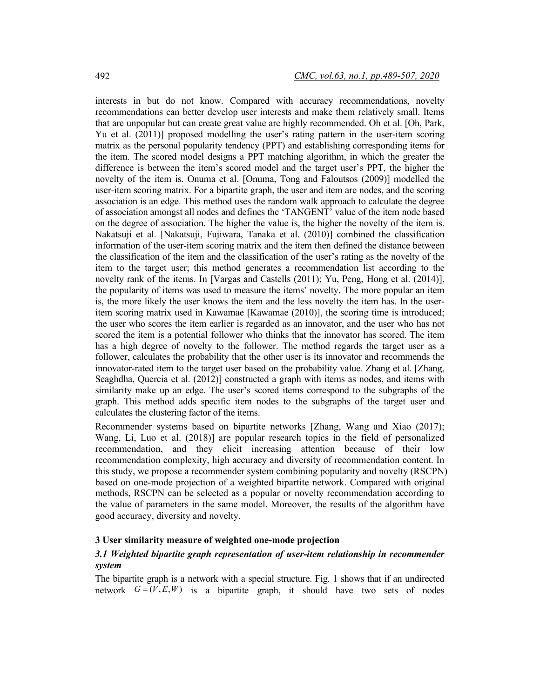interests in but do not know. Compared with accuracy recommendations, novelty recommendations can better develop user interests and make them relatively small. Items that are unpopular but can create great value are highly recommended. Oh et al. [Oh, Park, Yu et al. (2011)] proposed modelling the user's rating pattern in the user-item scoring matrix as the personal popularity tendency (PPT) and establishing corresponding items for the item. The scored model designs a PPT matching algorithm, in which the greater the difference is between the item's scored model and the target user's PPT, the higher the novelty of the item is. Onuma et al. [Onuma, Tong and Faloutsos (2009)] modelled the user-item scoring matrix. For a bipartite graph, the user and item are nodes, and the scoring association is an edge. This method uses the random walk approach to calculate the degree of association amongst all nodes and defines the 'TANGENT' value of the item node based on the degree of association. The higher the value is, the higher the novelty of the item is. Nakatsuji et al. [Nakatsuji, Fujiwara, Tanaka et al. (2010)] combined the classification information of the user-item scoring matrix and the item then defined the distance between the classification of the item and the classification of the user's rating as the novelty of the item to the target user; this method generates a recommendation list according to the novelty rank of the items. In [Vargas and Castells (2011); Yu, Peng, Hong et al. (2014)], the popularity of items was used to measure the items' novelty. The more popular an item is, the more likely the user knows the item and the less novelty the item has. In the useritem scoring matrix used in Kawamae [Kawamae (2010)], the scoring time is introduced; the user who scores the item earlier is regarded as an innovator, and the user who has not scored the item is a potential follower who thinks that the innovator has scored. The item has a high degree of novelty to the follower. The method regards the target user as a follower, calculates the probability that the other user is its innovator and recommends the innovator-rated item to the target user based on the probability value. Zhang et al. [Zhang, Seaghdha, Quercia et al. (2012)] constructed a graph with items as nodes, and items with similarity make up an edge. The user's scored items correspond to the subgraphs of the graph. This method adds specific item nodes to the subgraphs of the target user and calculates the clustering factor of the items.

Recommender systems based on bipartite networks [Zhang, Wang and Xiao (2017); Wang, Li, Luo et al. (2018)] are popular research topics in the field of personalized recommendation, and they elicit increasing attention because of their low recommendation complexity, high accuracy and diversity of recommendation content. In this study, we propose a recommender system combining popularity and novelty (RSCPN) based on one-mode projection of a weighted bipartite network. Compared with original methods, RSCPN can be selected as a popular or novelty recommendation according to the value of parameters in the same model. Moreover, the results of the algorithm have good accuracy, diversity and novelty.

### **3 User similarity measure of weighted one-mode projection**

### *3.1 Weighted bipartite graph representation of user-item relationship in recommender system*

The bipartite graph is a network with a special structure. Fig. 1 shows that if an undirected network  $G = (V, E, W)$  is a bipartite graph, it should have two sets of nodes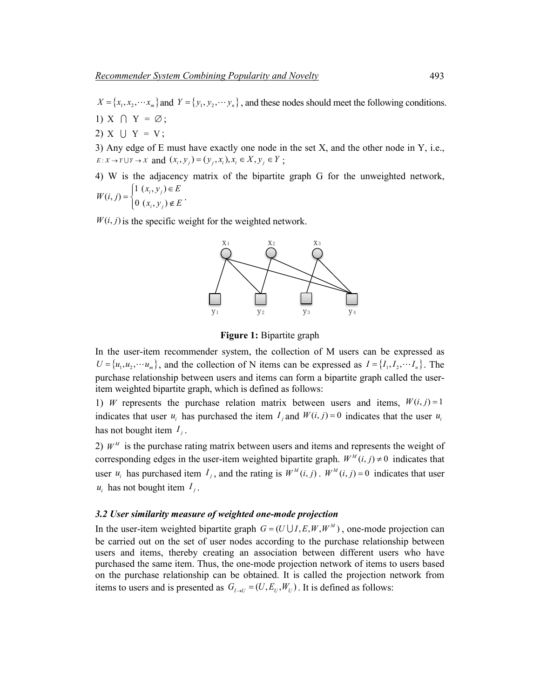$X = \{x_1, x_2, \dots, x_m\}$  and  $Y = \{y_1, y_2, \dots, y_n\}$ , and these nodes should meet the following conditions.

1)  $X \cap Y = \emptyset$ ;

2)  $X \cup Y = V$ ;

3) Any edge of E must have exactly one node in the set X, and the other node in Y, i.e.,  $E: X \to Y \cup Y \to X$  and  $(x_i, y_j) = (y_i, x_j), x_i \in X, y_j \in Y$ ;

4) W is the adjacency matrix of the bipartite graph G for the unweighted network,  $(i, j) = \begin{cases} 1 (x_i, y_j) \in E \\ 0 (x_i, y_j) \notin E \end{cases}$  $W(i, j) = \begin{cases} 1 (x_i, y_j) \in E \\ 0 (x_i, y_j) \notin E \end{cases}$ .

$$
(x_i, y_j) \in E
$$

 $W(i, j)$  is the specific weight for the weighted network.



**Figure 1:** Bipartite graph

In the user-item recommender system, the collection of M users can be expressed as  $U = \{u_1, u_2, \dots, u_m\}$ , and the collection of N items can be expressed as  $I = \{I_1, I_2, \dots, I_m\}$ . The purchase relationship between users and items can form a bipartite graph called the useritem weighted bipartite graph, which is defined as follows:

1) *W* represents the purchase relation matrix between users and items,  $W(i, j) = 1$ indicates that user  $u_i$  has purchased the item  $I_i$  and  $W(i, j) = 0$  indicates that the user  $u_i$ has not bought item  $I_i$ .

2)  $W^M$  is the purchase rating matrix between users and items and represents the weight of corresponding edges in the user-item weighted bipartite graph.  $W^M(i, j) \neq 0$  indicates that user  $u_i$  has purchased item  $I_j$ , and the rating is  $W^M(i, j)$ .  $W^M(i, j) = 0$  indicates that user  $u_i$  has not bought item  $I_i$ .

### *3.2 User similarity measure of weighted one-mode projection*

In the user-item weighted bipartite graph  $G = (U \cup I, E, W, W^M)$ , one-mode projection can be carried out on the set of user nodes according to the purchase relationship between users and items, thereby creating an association between different users who have purchased the same item. Thus, the one-mode projection network of items to users based on the purchase relationship can be obtained. It is called the projection network from items to users and is presented as  $G_{I \to U} = (U, E_{U}, W_{U})$ . It is defined as follows: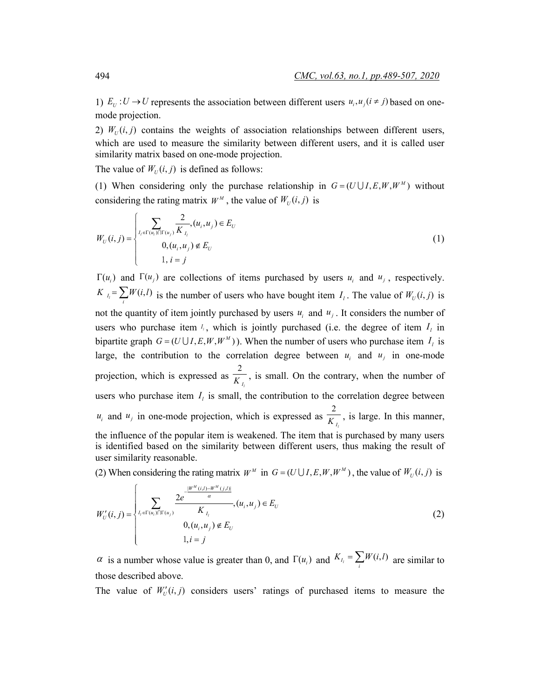1)  $E_U: U \to U$  represents the association between different users  $u_i, u_j (i \neq j)$  based on onemode projection.

2)  $W_U(i, j)$  contains the weights of association relationships between different users, which are used to measure the similarity between different users, and it is called user similarity matrix based on one-mode projection.

The value of  $W_U(i, j)$  is defined as follows:

(1) When considering only the purchase relationship in  $G = (U \cup I, E, W, W^M)$  without considering the rating matrix  $W^M$ , the value of  $W_U(i, j)$  is

$$
W_U(i,j) = \begin{cases} \sum_{I_i \in \Gamma(u_i) \cap \Gamma(u_j)} \frac{2}{K_{I_i}}, (u_i, u_j) \in E_U\\ 0, (u_i, u_j) \notin E_U\\ 1, i = j \end{cases}
$$
(1)

 $\Gamma(u_i)$  and  $\Gamma(u_i)$  are collections of items purchased by users  $u_i$  and  $u_j$ , respectively.  $K_{l_i} = \sum_i W(i, l)$  is the number of users who have bought item  $I_i$ . The value of  $W_U(i, j)$  is not the quantity of item jointly purchased by users  $u_i$  and  $u_j$ . It considers the number of users who purchase item  $I_i$ , which is jointly purchased (i.e. the degree of item  $I_i$  in bipartite graph  $G = (U \cup I, E, W, W^M)$ . When the number of users who purchase item  $I_i$  is large, the contribution to the correlation degree between  $u_i$  and  $u_j$  in one-mode projection, which is expressed as 2  $\overline{K}_{I_i}$ , is small. On the contrary, when the number of users who purchase item  $I_i$  is small, the contribution to the correlation degree between  $u_i$  and  $u_j$  in one-mode projection, which is expressed as  $\frac{2}{K}$  $\overline{K_{I_i}}$ , is large. In this manner, the influence of the popular item is weakened. The item that is purchased by many users is identified based on the similarity between different users, thus making the result of user similarity reasonable.

(2) When considering the rating matrix  $W^M$  in  $G = (U \cup I, E, W, W^M)$ , the value of  $W_U(i, j)$  is

$$
W'_{U}(i, j) = \begin{cases} \sum_{I_i \in \Gamma(u_i) \cap \Gamma(u_j)} \frac{2e^{-\frac{|W^M(i, j) - W^M(j, l)|}{\alpha}}}{K_{I_i}}, (u_i, u_j) \in E_U\\ 0, (u_i, u_j) \notin E_U\\ 1, i = j \end{cases}
$$
(2)

 $\alpha$  is a number whose value is greater than 0, and  $\Gamma(u_i)$  and  $K_{I_i} = \sum_i W(i, l)$  are similar to those described above.

The value of  $W'_U(i, j)$  considers users' ratings of purchased items to measure the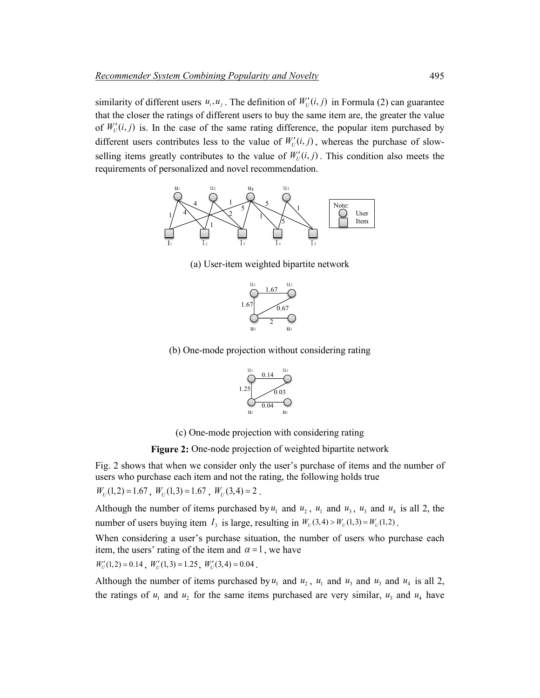similarity of different users  $u_i, u_j$ . The definition of  $W'_U(i, j)$  in Formula (2) can guarantee that the closer the ratings of different users to buy the same item are, the greater the value of  $W'_U(i, j)$  is. In the case of the same rating difference, the popular item purchased by different users contributes less to the value of  $W'_U(i, j)$ , whereas the purchase of slowselling items greatly contributes to the value of  $W'_U(i, j)$ . This condition also meets the requirements of personalized and novel recommendation.



(a) User-item weighted bipartite network



(b) One-mode projection without considering rating



(c) One-mode projection with considering rating

**Figure 2:** One-node projection of weighted bipartite network

Fig. 2 shows that when we consider only the user's purchase of items and the number of users who purchase each item and not the rating, the following holds true

 $W_U(1,2) = 1.67$ ,  $W_U(1,3) = 1.67$ ,  $W_U(3,4) = 2$ .

Although the number of items purchased by  $u_1$  and  $u_2$ ,  $u_1$  and  $u_3$ ,  $u_3$  and  $u_4$  is all 2, the number of users buying item  $I_3$  is large, resulting in  $W_U(3,4) > W_U(1,3) = W_U(1,2)$ .

When considering a user's purchase situation, the number of users who purchase each item, the users' rating of the item and  $\alpha = 1$ , we have

$$
W'_{U}(1,2) = 0.14
$$
,  $W'_{U}(1,3) = 1.25$ ,  $W'_{U}(3,4) = 0.04$ .

Although the number of items purchased by  $u_1$  and  $u_2$ ,  $u_1$  and  $u_3$  and  $u_4$  and  $u_4$  is all 2, the ratings of  $u_1$  and  $u_2$  for the same items purchased are very similar,  $u_3$  and  $u_4$  have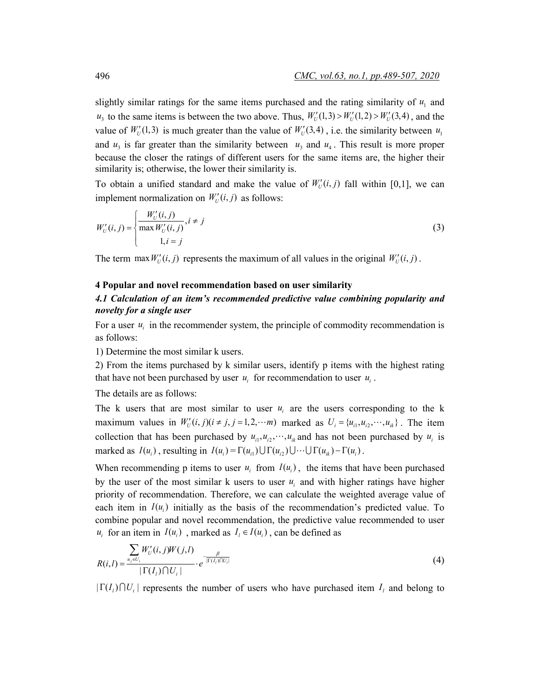slightly similar ratings for the same items purchased and the rating similarity of  $u<sub>1</sub>$  and  $u_3$  to the same items is between the two above. Thus,  $W'_U(1,3) > W'_U(1,2) > W'_U(3,4)$ , and the value of  $W_U'(1,3)$  is much greater than the value of  $W_U'(3,4)$ , i.e. the similarity between  $u_1$ and  $u_3$  is far greater than the similarity between  $u_3$  and  $u_4$ . This result is more proper because the closer the ratings of different users for the same items are, the higher their similarity is; otherwise, the lower their similarity is.

To obtain a unified standard and make the value of  $W'_U(i, j)$  fall within [0,1], we can implement normalization on  $W'_U(i, j)$  as follows:

$$
W'_{U}(i, j) = \begin{cases} \frac{W'_{U}(i, j)}{\max W'_{U}(i, j)}, i \neq j\\ 1, i = j \end{cases}
$$
 (3)

The term max  $W'_U(i, j)$  represents the maximum of all values in the original  $W'_U(i, j)$ .

#### **4 Popular and novel recommendation based on user similarity**

### *4.1 Calculation of an item's recommended predictive value combining popularity and novelty for a single user*

For a user  $u_i$  in the recommender system, the principle of commodity recommendation is as follows:

1) Determine the most similar k users.

2) From the items purchased by k similar users, identify p items with the highest rating that have not been purchased by user  $u_i$  for recommendation to user  $u_i$ .

The details are as follows:

The k users that are most similar to user  $u_i$  are the users corresponding to the k maximum values in  $W'_{U}(i, j)$   $(i \neq j, j = 1, 2, \cdots m)$  marked as  $U_{i} = \{u_{i1}, u_{i2}, \cdots, u_{ik}\}\.$  The item collection that has been purchased by  $u_{i1}, u_{i2}, \dots, u_{ik}$  and has not been purchased by  $u_i$  is marked as  $I(u_i)$ , resulting in  $I(u_i) = \Gamma(u_{i1}) \cup \Gamma(u_{i2}) \cup \cdots \cup \Gamma(u_{ik}) - \Gamma(u_i)$ .

When recommending p items to user  $u_i$  from  $I(u_i)$ , the items that have been purchased by the user of the most similar k users to user  $u_i$  and with higher ratings have higher priority of recommendation. Therefore, we can calculate the weighted average value of each item in  $I(u_i)$  initially as the basis of the recommendation's predicted value. To combine popular and novel recommendation, the predictive value recommended to user *u<sub>i</sub>* for an item in  $I(u_i)$ , marked as  $I_i \in I(u_i)$ , can be defined as

$$
R(i,l) = \frac{\sum_{u_j \in U_i} W'_{U}(i,j)W(j,l)}{|\Gamma(I_i) \cap U_i|} \cdot e^{-\frac{\beta}{|\Gamma(I_i) \cap U_i|}} \tag{4}
$$

 $|\Gamma(I_i)\cap U_i|$  represents the number of users who have purchased item  $I_i$  and belong to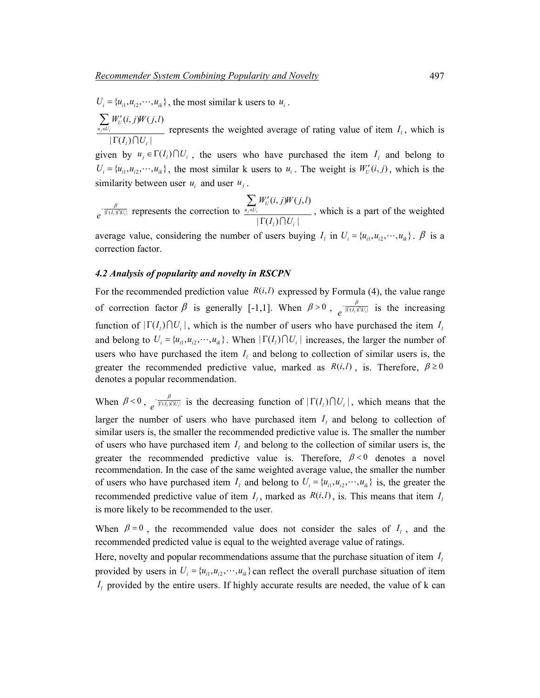$U_i = \{u_{i1}, u_{i2}, \dots, u_{ik}\}\,$ , the most similar k users to  $u_i$ .

 $(i, j)W(j, l)$  $|\Gamma(I_i)\bigcap U_i|$  $$  $\sum_{u_i \in U_i}$ <sup>r</sup> U  $i^{j}$ <sup> $i^{j}$ </sup>  $W'_{ij}(i, j)W(j, l)$  $I_{\scriptscriptstyle I}$ ) $\cap$ U ∈ ′ Γ ∑  $\bigcap$ represents the weighted average of rating value of item  $I_i$ , which is given by  $u_j \in \Gamma(I_i) \cap U_i$ , the users who have purchased the item  $I_i$  and belong to  $U_i = \{u_{i1}, u_{i2}, \dots, u_{ik}\}\$ , the most similar k users to  $u_i$ . The weight is  $W'_i(i, j)$ , which is the similarity between user  $u_i$  and user  $u_i$ .

 $e^{-\frac{\beta}{|\Gamma(I_i)\cap U_i|}}$  represents the correction to  $\frac{V_i}{u_j \in U_i} W'_i(i,j)W(j,l)$  $|\Gamma(I_i)\bigcap U_i|$ *j i*  $\sum_{u_i \in U_i}$ <sup>r</sup> U  $i^{j}$ <sup> $i^{j}$ </sup>  $W'_{\scriptscriptstyle II}(i,j)W(j,l)$  $I_{\scriptscriptstyle I})\bigcap U$ ∈ ′ Γ ∑  $\bigcap$ , which is a part of the weighted

average value, considering the number of users buying  $I_i$  in  $U_i = \{u_{i1}, u_{i2}, \dots, u_{ik}\}\$ .  $\beta$  is a correction factor.

### *4.2 Analysis of popularity and novelty in RSCPN*

For the recommended prediction value  $R(i, l)$  expressed by Formula (4), the value range of correction factor  $\beta$  is generally [-1,1]. When  $\beta > 0$ ,  $\int_{e}^{\frac{\beta}{\left|\Gamma(I_i)\cap U_i\right|}}$  is the increasing function of  $|\Gamma(I_i)| \cap U_i|$ , which is the number of users who have purchased the item  $I_i$ and belong to  $U_i = \{u_{i1}, u_{i2}, \dots, u_{ik}\}\$ . When  $|\Gamma(I_i) \cap U_i|$  increases, the larger the number of users who have purchased the item  $I_i$  and belong to collection of similar users is, the greater the recommended predictive value, marked as  $R(i, l)$ , is. Therefore,  $\beta \ge 0$ denotes a popular recommendation.

When  $\beta < 0$ ,  $e^{-\frac{\beta}{|\Gamma(I_i)|(|U_i|)}}$  is the decreasing function of  $|\Gamma(I_i) \cap U_i|$ , which means that the larger the number of users who have purchased item  $I_i$  and belong to collection of similar users is, the smaller the recommended predictive value is. The smaller the number of users who have purchased item  $I_i$  and belong to the collection of similar users is, the greater the recommended predictive value is. Therefore,  $\beta < 0$  denotes a novel recommendation. In the case of the same weighted average value, the smaller the number of users who have purchased item  $I_i$  and belong to  $U_i = \{u_{i1}, u_{i2}, \dots, u_{ik}\}\$ is, the greater the recommended predictive value of item  $I_i$ , marked as  $R(i,l)$ , is. This means that item  $I_i$ is more likely to be recommended to the user.

When  $\beta = 0$ , the recommended value does not consider the sales of  $I_i$ , and the recommended predicted value is equal to the weighted average value of ratings.

Here, novelty and popular recommendations assume that the purchase situation of item  $I_l$ provided by users in  $U_i = \{u_{i1}, u_{i2}, \dots, u_{ik}\}$  can reflect the overall purchase situation of item  $I<sub>l</sub>$  provided by the entire users. If highly accurate results are needed, the value of k can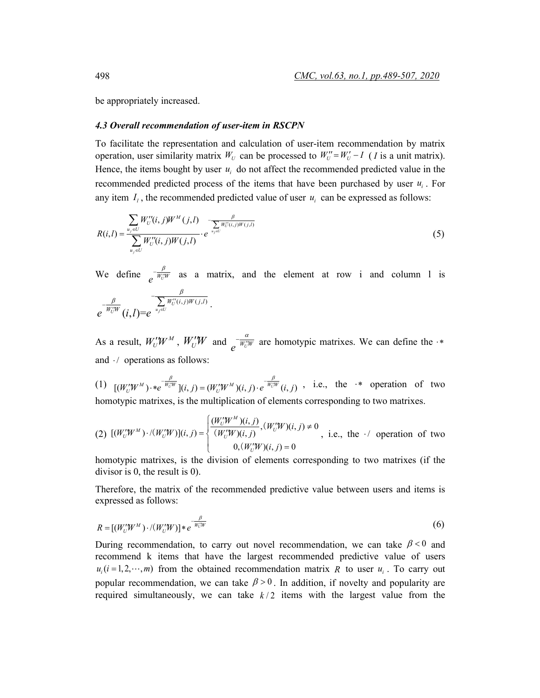be appropriately increased.

### *4.3 Overall recommendation of user-item in RSCPN*

To facilitate the representation and calculation of user-item recommendation by matrix operation, user similarity matrix  $W_U$  can be processed to  $W_U'' = W_U' - I$  (*I* is a unit matrix). Hence, the items bought by user  $u_i$  do not affect the recommended predicted value in the recommended predicted process of the items that have been purchased by user  $u_i$ . For any item  $I_i$ , the recommended predicted value of user  $u_i$  can be expressed as follows:

$$
R(i,l) = \frac{\sum_{u_j \in U} W''_{U}(i,j)W^M(j,l)}{\sum_{u_j \in U} W''_{U}(i,j)W(j,l)} \cdot e^{\frac{\beta}{u_j \in U} W''_{U}(i,j)W(j,l)}
$$
(5)

We define  $e^{-\frac{B}{W_0^{\prime\prime}W}}$  as a matrix, and the element at row i and column l is

$$
e^{-\frac{\beta}{W_U^{\prime W}}}\overline{(i,l)}=e^{-\frac{\beta}{\sum\limits_{u_j\in U}W_U^{\prime\prime}(i,j)W(j,l)}}.
$$

As a result,  $W'_{U}W^{M}$ ,  $W'_{U}W$  and  $\int_{\rho} \frac{\alpha}{W'_{U}W}$  are homotypic matrixes. We can define the  $\cdot$ \* and  $\cdot$  / operations as follows:

(1)  $[(W_U^{\prime\prime}W^M)\cdot *e^{-\frac{\beta}{W_U^{\prime\prime}W}}](i,j) = (W_U^{\prime\prime}W^M)(i,j) \cdot e^{-\frac{\beta}{W_U^{\prime\prime}W}}(i,j)$ , i.e., the  $\cdot^*$  operation of two homotypic matrixes, is the multiplication of elements corresponding to two matrixes.

(2) 
$$
[(W'_{U}W^{M})\cdot/(W'_{U}W)](i,j) = \begin{cases} \frac{(W'_{U}W^{M})(i,j)}{(W'_{U}W)(i,j)}, (W'_{U}W)(i,j) \neq 0\\ W'_{U}W)(i,j) = 0 \end{cases}
$$
, i.e., the  $\cdot$  operation of two

homotypic matrixes, is the division of elements corresponding to two matrixes (if the divisor is 0, the result is 0).

Therefore, the matrix of the recommended predictive value between users and items is expressed as follows:

$$
R = [(W_U'W^M) \cdot / (W_U'W)] * e^{-\frac{\beta}{W_U'W}}
$$
\n
$$
(6)
$$

During recommendation, to carry out novel recommendation, we can take  $\beta < 0$  and recommend k items that have the largest recommended predictive value of users  $u_i$  ( $i = 1, 2, \dots, m$ ) from the obtained recommendation matrix *R* to user  $u_i$ . To carry out popular recommendation, we can take  $\beta > 0$ . In addition, if novelty and popularity are required simultaneously, we can take  $k/2$  items with the largest value from the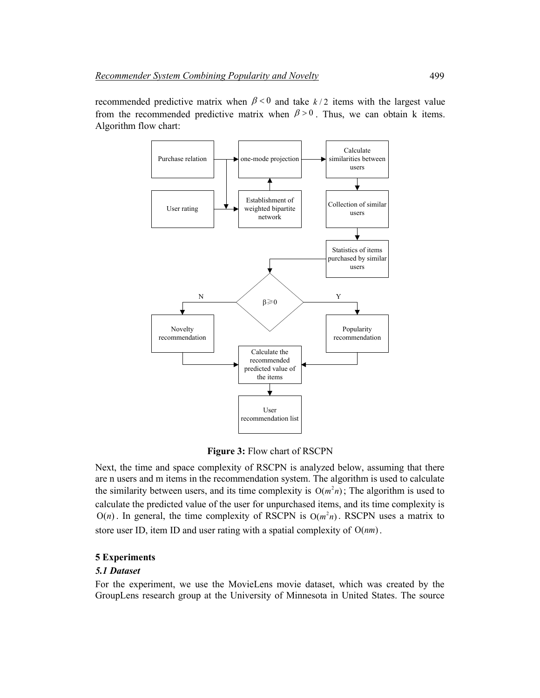recommended predictive matrix when  $\beta < 0$  and take  $k/2$  items with the largest value from the recommended predictive matrix when  $\beta > 0$ . Thus, we can obtain k items. Algorithm flow chart:



**Figure 3:** Flow chart of RSCPN

Next, the time and space complexity of RSCPN is analyzed below, assuming that there are n users and m items in the recommendation system. The algorithm is used to calculate the similarity between users, and its time complexity is  $O(m^2 n)$ ; The algorithm is used to calculate the predicted value of the user for unpurchased items, and its time complexity is  $O(n)$ . In general, the time complexity of RSCPN is  $O(m<sup>2</sup>n)$ . RSCPN uses a matrix to store user ID, item ID and user rating with a spatial complexity of  $O(nm)$ .

### **5 Experiments**

### *5.1 Dataset*

For the experiment, we use the MovieLens movie dataset, which was created by the GroupLens research group at the University of Minnesota in United States. The source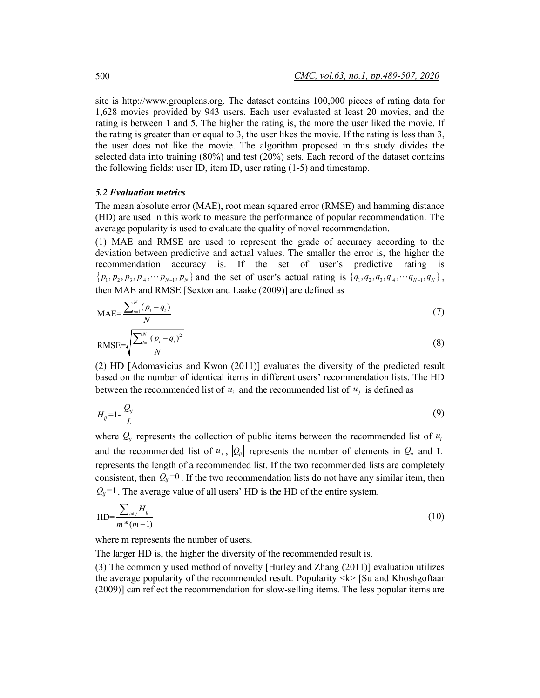site is http://www.grouplens.org. The dataset contains 100,000 pieces of rating data for 1,628 movies provided by 943 users. Each user evaluated at least 20 movies, and the rating is between 1 and 5. The higher the rating is, the more the user liked the movie. If the rating is greater than or equal to 3, the user likes the movie. If the rating is less than 3, the user does not like the movie. The algorithm proposed in this study divides the selected data into training (80%) and test (20%) sets. Each record of the dataset contains the following fields: user ID, item ID, user rating (1-5) and timestamp.

#### *5.2 Evaluation metrics*

The mean absolute error (MAE), root mean squared error (RMSE) and hamming distance (HD) are used in this work to measure the performance of popular recommendation. The average popularity is used to evaluate the quality of novel recommendation.

(1) MAE and RMSE are used to represent the grade of accuracy according to the deviation between predictive and actual values. The smaller the error is, the higher the recommendation accuracy is. If the set of user's predictive rating is  $\{p_1, p_2, p_3, p_4, \cdots p_{N-1}, p_N\}$  and the set of user's actual rating is  $\{q_1, q_2, q_3, q_4, \cdots q_{N-1}, q_N\}$ , then MAE and RMSE [Sexton and Laake (2009)] are defined as

$$
\text{MAE} = \frac{\sum_{i=1}^{N} (p_i - q_i)}{N} \tag{7}
$$

RMSE=
$$
\sqrt{\frac{\sum_{i=1}^{N} (p_i - q_i)^2}{N}}
$$
 (8)

(2) HD [Adomavicius and Kwon (2011)] evaluates the diversity of the predicted result based on the number of identical items in different users' recommendation lists. The HD between the recommended list of  $u_i$  and the recommended list of  $u_i$  is defined as

$$
H_{ij} = 1 - \frac{|Q_{ij}|}{L} \tag{9}
$$

where  $Q_{ij}$  represents the collection of public items between the recommended list of  $u_i$ and the recommended list of  $u_i$ ,  $|Q_i|$  represents the number of elements in  $Q_i$  and L represents the length of a recommended list. If the two recommended lists are completely consistent, then  $Q_i = 0$ . If the two recommendation lists do not have any similar item, then  $Q_i$ <sup>=1</sup>. The average value of all users' HD is the HD of the entire system.

$$
HD = \frac{\sum_{i \neq j} H_{ij}}{m^*(m-1)} \tag{10}
$$

where m represents the number of users.

The larger HD is, the higher the diversity of the recommended result is.

(3) The commonly used method of novelty [Hurley and Zhang (2011)] evaluation utilizes the average popularity of the recommended result. Popularity  $\langle k \rangle$  [Su and Khoshgoftaar] (2009)] can reflect the recommendation for slow-selling items. The less popular items are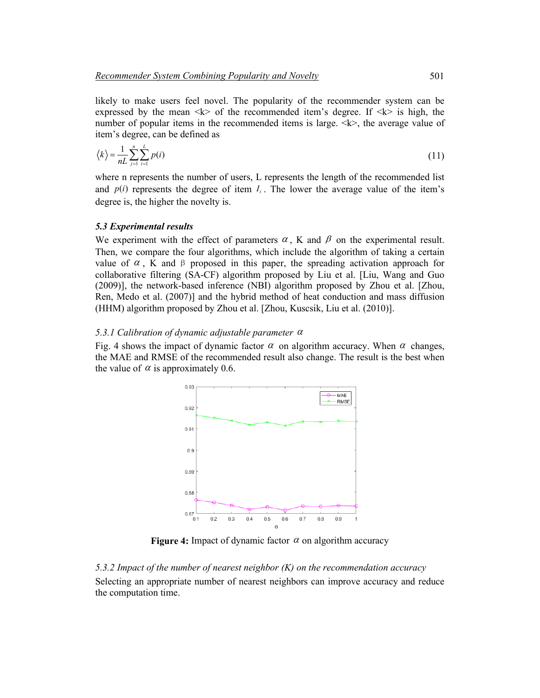likely to make users feel novel. The popularity of the recommender system can be expressed by the mean  $\langle k \rangle$  of the recommended item's degree. If  $\langle k \rangle$  is high, the number of popular items in the recommended items is large.  $\langle k \rangle$ , the average value of item's degree, can be defined as

$$
\langle k \rangle = \frac{1}{nL} \sum_{j=1}^{n} \sum_{i=1}^{L} p(i) \tag{11}
$$

where n represents the number of users, L represents the length of the recommended list and  $p(i)$  represents the degree of item  $I_i$ . The lower the average value of the item's degree is, the higher the novelty is.

#### *5.3 Experimental results*

We experiment with the effect of parameters  $\alpha$ , K and  $\beta$  on the experimental result. Then, we compare the four algorithms, which include the algorithm of taking a certain value of  $\alpha$ , K and β proposed in this paper, the spreading activation approach for collaborative filtering (SA-CF) algorithm proposed by Liu et al. [Liu, Wang and Guo (2009)], the network-based inference (NBI) algorithm proposed by Zhou et al. [Zhou, Ren, Medo et al. (2007)] and the hybrid method of heat conduction and mass diffusion (HHM) algorithm proposed by Zhou et al. [Zhou, Kuscsik, Liu et al. (2010)].

#### *5.3.1 Calibration of dynamic adjustable parameter* <sup>α</sup>

Fig. 4 shows the impact of dynamic factor  $\alpha$  on algorithm accuracy. When  $\alpha$  changes, the MAE and RMSE of the recommended result also change. The result is the best when the value of  $\alpha$  is approximately 0.6.



**Figure 4:** Impact of dynamic factor  $\alpha$  on algorithm accuracy

*5.3.2 Impact of the number of nearest neighbor (K) on the recommendation accuracy* Selecting an appropriate number of nearest neighbors can improve accuracy and reduce the computation time.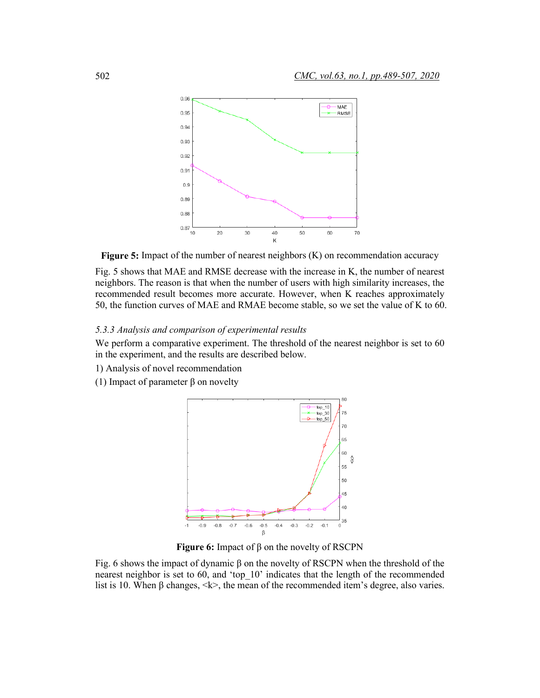

**Figure 5:** Impact of the number of nearest neighbors (K) on recommendation accuracy

Fig. 5 shows that MAE and RMSE decrease with the increase in K, the number of nearest neighbors. The reason is that when the number of users with high similarity increases, the recommended result becomes more accurate. However, when K reaches approximately 50, the function curves of MAE and RMAE become stable, so we set the value of K to 60.

### *5.3.3 Analysis and comparison of experimental results*

We perform a comparative experiment. The threshold of the nearest neighbor is set to 60 in the experiment, and the results are described below.

- 1) Analysis of novel recommendation
- (1) Impact of parameter β on novelty



**Figure 6:** Impact of β on the novelty of RSCPN

Fig. 6 shows the impact of dynamic β on the novelty of RSCPN when the threshold of the nearest neighbor is set to 60, and 'top\_10' indicates that the length of the recommended list is 10. When β changes,  $\langle k \rangle$ , the mean of the recommended item's degree, also varies.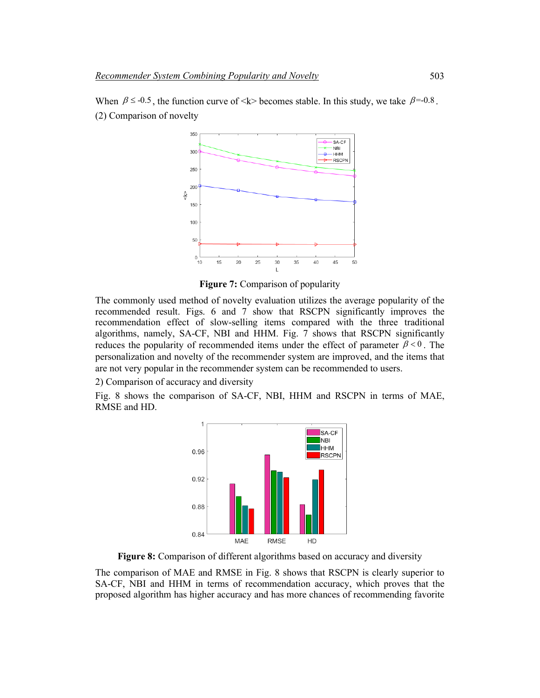

When  $\beta \le 0.5$ , the function curve of <k> becomes stable. In this study, we take  $\beta = 0.8$ . (2) Comparison of novelty

**Figure 7:** Comparison of popularity

The commonly used method of novelty evaluation utilizes the average popularity of the recommended result. Figs. 6 and 7 show that RSCPN significantly improves the recommendation effect of slow-selling items compared with the three traditional algorithms, namely, SA-CF, NBI and HHM. Fig. 7 shows that RSCPN significantly reduces the popularity of recommended items under the effect of parameter  $\beta < 0$ . The personalization and novelty of the recommender system are improved, and the items that are not very popular in the recommender system can be recommended to users.

2) Comparison of accuracy and diversity

Fig. 8 shows the comparison of SA-CF, NBI, HHM and RSCPN in terms of MAE, RMSE and HD.



**Figure 8:** Comparison of different algorithms based on accuracy and diversity

The comparison of MAE and RMSE in Fig. 8 shows that RSCPN is clearly superior to SA-CF, NBI and HHM in terms of recommendation accuracy, which proves that the proposed algorithm has higher accuracy and has more chances of recommending favorite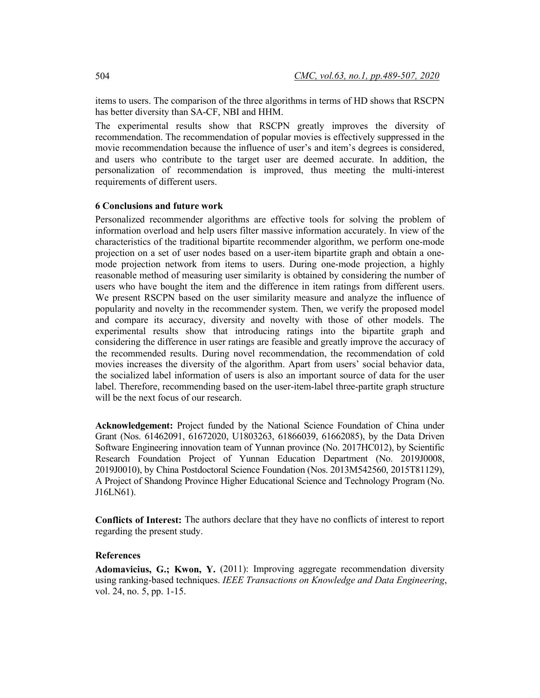items to users. The comparison of the three algorithms in terms of HD shows that RSCPN has better diversity than SA-CF, NBI and HHM.

The experimental results show that RSCPN greatly improves the diversity of recommendation. The recommendation of popular movies is effectively suppressed in the movie recommendation because the influence of user's and item's degrees is considered, and users who contribute to the target user are deemed accurate. In addition, the personalization of recommendation is improved, thus meeting the multi-interest requirements of different users.

### **6 Conclusions and future work**

Personalized recommender algorithms are effective tools for solving the problem of information overload and help users filter massive information accurately. In view of the characteristics of the traditional bipartite recommender algorithm, we perform one-mode projection on a set of user nodes based on a user-item bipartite graph and obtain a onemode projection network from items to users. During one-mode projection, a highly reasonable method of measuring user similarity is obtained by considering the number of users who have bought the item and the difference in item ratings from different users. We present RSCPN based on the user similarity measure and analyze the influence of popularity and novelty in the recommender system. Then, we verify the proposed model and compare its accuracy, diversity and novelty with those of other models. The experimental results show that introducing ratings into the bipartite graph and considering the difference in user ratings are feasible and greatly improve the accuracy of the recommended results. During novel recommendation, the recommendation of cold movies increases the diversity of the algorithm. Apart from users' social behavior data, the socialized label information of users is also an important source of data for the user label. Therefore, recommending based on the user-item-label three-partite graph structure will be the next focus of our research.

**Acknowledgement:** Project funded by the National Science Foundation of China under Grant (Nos. 61462091, 61672020, U1803263, 61866039, 61662085), by the Data Driven Software Engineering innovation team of Yunnan province (No. 2017HC012), by Scientific Research Foundation Project of Yunnan Education Department (No. 2019J0008, 2019J0010), by China Postdoctoral Science Foundation (Nos. 2013M542560, 2015T81129), A Project of Shandong Province Higher Educational Science and Technology Program (No. J16LN61).

**Conflicts of Interest:** The authors declare that they have no conflicts of interest to report regarding the present study.

#### **References**

**Adomavicius, G.; Kwon, Y.** (2011): Improving aggregate recommendation diversity using ranking-based techniques. *IEEE Transactions on Knowledge and Data Engineering*, vol. 24, no. 5, pp. 1-15.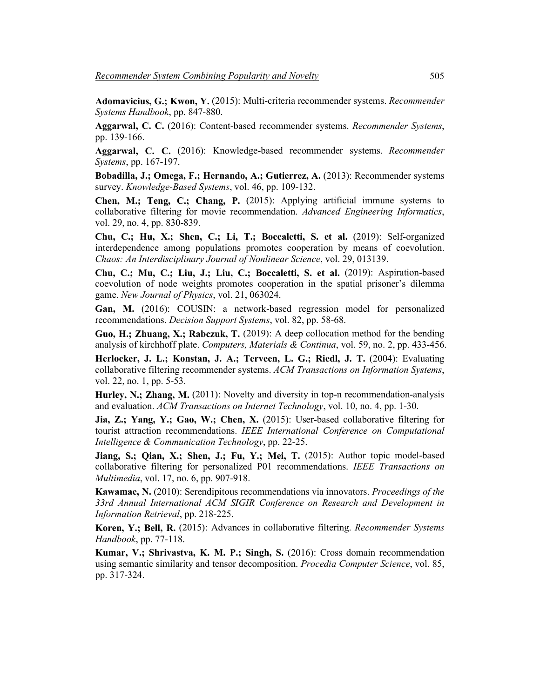**Adomavicius, G.; Kwon, Y.** (2015): Multi-criteria recommender systems. *Recommender Systems Handbook*, pp. 847-880.

**Aggarwal, C. C.** (2016): Content-based recommender systems. *Recommender Systems*, pp. 139-166.

**Aggarwal, C. C.** (2016): Knowledge-based recommender systems. *Recommender Systems*, pp. 167-197.

**Bobadilla, J.; Omega, F.; Hernando, A.; Gutierrez, A.** (2013): Recommender systems survey. *Knowledge-Based Systems*, vol. 46, pp. 109-132.

**Chen, M.; Teng, C.; Chang, P.** (2015): Applying artificial immune systems to collaborative filtering for movie recommendation. *Advanced Engineering Informatics*, vol. 29, no. 4, pp. 830-839.

**Chu, C.; Hu, X.; Shen, C.; Li, T.; Boccaletti, S. et al.** (2019): Self-organized interdependence among populations promotes cooperation by means of coevolution. *Chaos: An Interdisciplinary Journal of Nonlinear Science*, vol. 29, 013139.

**Chu, C.; Mu, C.; Liu, J.; Liu, C.; Boccaletti, S. et al.** (2019): Aspiration-based coevolution of node weights promotes cooperation in the spatial prisoner's dilemma game. *New Journal of Physics*, vol. 21, 063024.

**Gan, M.** (2016): COUSIN: a network-based regression model for personalized recommendations. *Decision Support Systems*, vol. 82, pp. 58-68.

**Guo, H.; Zhuang, X.; Rabczuk, T.** (2019): A deep collocation method for the bending analysis of kirchhoff plate. *Computers, Materials & Continua*, vol. 59, no. 2, pp. 433-456.

**Herlocker, J. L.; Konstan, J. A.; Terveen, L. G.; Riedl, J. T.** (2004): Evaluating collaborative filtering recommender systems. *ACM Transactions on Information Systems*, vol. 22, no. 1, pp. 5-53.

**Hurley, N.; Zhang, M.** (2011): Novelty and diversity in top-n recommendation-analysis and evaluation. *ACM Transactions on Internet Technology*, vol. 10, no. 4, pp. 1-30.

**Jia, Z.; Yang, Y.; Gao, W.; Chen, X.** (2015): User-based collaborative filtering for tourist attraction recommendations. *IEEE International Conference on Computational Intelligence & Communication Technology*, pp. 22-25.

**Jiang, S.; Qian, X.; Shen, J.; Fu, Y.; Mei, T.** (2015): Author topic model-based collaborative filtering for personalized P01 recommendations. *IEEE Transactions on Multimedia*, vol. 17, no. 6, pp. 907-918.

**Kawamae, N.** (2010): Serendipitous recommendations via innovators. *Proceedings of the 33rd Annual International ACM SIGIR Conference on Research and Development in Information Retrieval*, pp. 218-225.

**Koren, Y.; Bell, R.** (2015): Advances in collaborative filtering. *Recommender Systems Handbook*, pp. 77-118.

**Kumar, V.; Shrivastva, K. M. P.; Singh, S.** (2016): Cross domain recommendation using semantic similarity and tensor decomposition. *Procedia Computer Science*, vol. 85, pp. 317-324.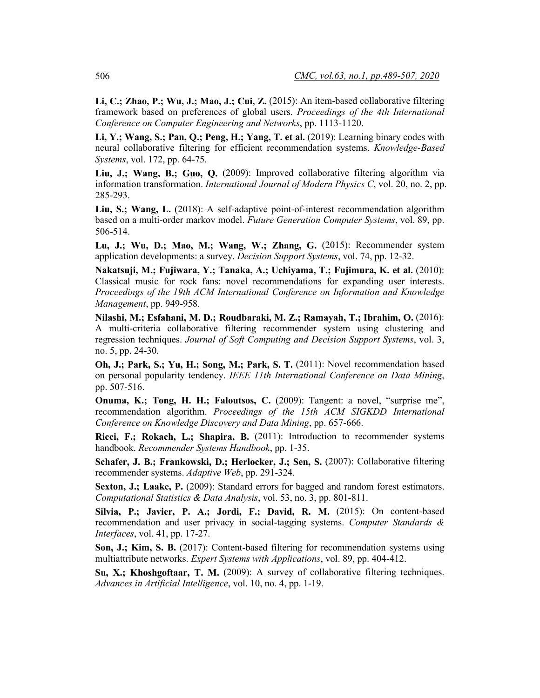**Li, C.; Zhao, P.; Wu, J.; Mao, J.; Cui, Z.** (2015): An item-based collaborative filtering framework based on preferences of global users. *Proceedings of the 4th International Conference on Computer Engineering and Networks*, pp. 1113-1120.

**Li, Y.; Wang, S.; Pan, Q.; Peng, H.; Yang, T. et al.** (2019): Learning binary codes with neural collaborative filtering for efficient recommendation systems. *Knowledge-Based Systems*, vol. 172, pp. 64-75.

**Liu, J.; Wang, B.; Guo, Q.** (2009): Improved collaborative filtering algorithm via information transformation. *International Journal of Modern Physics C*, vol. 20, no. 2, pp. 285-293.

**Liu, S.; Wang, L.** (2018): A self-adaptive point-of-interest recommendation algorithm based on a multi-order markov model. *Future Generation Computer Systems*, vol. 89, pp. 506-514.

**Lu, J.; Wu, D.; Mao, M.; Wang, W.; Zhang, G.** (2015): Recommender system application developments: a survey. *Decision Support Systems*, vol. 74, pp. 12-32.

**Nakatsuji, M.; Fujiwara, Y.; Tanaka, A.; Uchiyama, T.; Fujimura, K. et al.** (2010): Classical music for rock fans: novel recommendations for expanding user interests. *Proceedings of the 19th ACM International Conference on Information and Knowledge Management*, pp. 949-958.

**Nilashi, M.; Esfahani, M. D.; Roudbaraki, M. Z.; Ramayah, T.; Ibrahim, O.** (2016): A multi-criteria collaborative filtering recommender system using clustering and regression techniques. *Journal of Soft Computing and Decision Support Systems*, vol. 3, no. 5, pp. 24-30.

**Oh, J.; Park, S.; Yu, H.; Song, M.; Park, S. T.** (2011): Novel recommendation based on personal popularity tendency. *IEEE 11th International Conference on Data Mining*, pp. 507-516.

**Onuma, K.; Tong, H. H.; Faloutsos, C.** (2009): Tangent: a novel, "surprise me", recommendation algorithm. *Proceedings of the 15th ACM SIGKDD International Conference on Knowledge Discovery and Data Mining*, pp. 657-666.

**Ricci, F.; Rokach, L.; Shapira, B.** (2011): Introduction to recommender systems handbook. *Recommender Systems Handbook*, pp. 1-35.

**Schafer, J. B.; Frankowski, D.; Herlocker, J.; Sen, S.** (2007): Collaborative filtering recommender systems. *Adaptive Web*, pp. 291-324.

**Sexton, J.; Laake, P.** (2009): Standard errors for bagged and random forest estimators. *Computational Statistics & Data Analysis*, vol. 53, no. 3, pp. 801-811.

**Silvia, P.; Javier, P. A.; Jordi, F.; David, R. M.** (2015): On content-based recommendation and user privacy in social-tagging systems. *Computer Standards & Interfaces*, vol. 41, pp. 17-27.

**Son, J.; Kim, S. B.** (2017): Content-based filtering for recommendation systems using multiattribute networks. *Expert Systems with Applications*, vol. 89, pp. 404-412.

**Su, X.; Khoshgoftaar, T. M.** (2009): A survey of collaborative filtering techniques. *Advances in Artificial Intelligence*, vol. 10, no. 4, pp. 1-19.